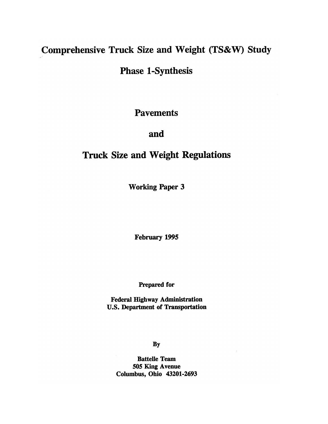# Comprehensive Truck Size and Weight (TS&W) Study

**Phase 1-Synthesis** 

**Pavements** 

# and

# **Truck Size and Weight Regulations**

**Working Paper 3** 

February 1995

**Prepared for** 

**Federal Highway Administration U.S. Department of Transportation** 

**By** 

**Battelle Team** 505 King Avenue Columbus, Ohio 43201-2693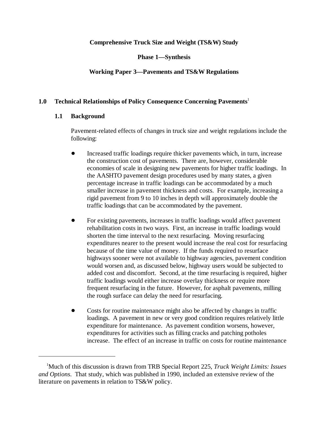# **Comprehensive Truck Size and Weight (TS&W) Study**

**Phase 1—Synthesis**

# **Working Paper 3—Pavements and TS&W Regulations**

# **1.0 Technical Relationships of Policy Consequence Concerning Pavements**<sup>1</sup>

# **1.1 Background**

Pavement-related effects of changes in truck size and weight regulations include the following:

- Increased traffic loadings require thicker pavements which, in turn, increase the construction cost of pavements. There are, however, considerable economies of scale in designing new pavements for higher traffic loadings. In the AASHTO pavement design procedures used by many states, a given percentage increase in traffic loadings can be accommodated by a much smaller increase in pavement thickness and costs. For example, increasing a rigid pavement from 9 to 10 inches in depth will approximately double the traffic loadings that can be accommodated by the pavement.
- For existing pavements, increases in traffic loadings would affect pavement rehabilitation costs in two ways. First, an increase in traffic loadings would shorten the time interval to the next resurfacing. Moving resurfacing expenditures nearer to the present would increase the real cost for resurfacing because of the time value of money. If the funds required to resurface highways sooner were not available to highway agencies, pavement condition would worsen and, as discussed below, highway users would be subjected to added cost and discomfort. Second, at the time resurfacing is required, higher traffic loadings would either increase overlay thickness or require more frequent resurfacing in the future. However, for asphalt pavements, milling the rough surface can delay the need for resurfacing.
- Costs for routine maintenance might also be affected by changes in traffic loadings. A pavement in new or very good condition requires relatively little expenditure for maintenance. As pavement condition worsens, however, expenditures for activities such as filling cracks and patching potholes increase. The effect of an increase in traffic on costs for routine maintenance

Much of this discussion is drawn from TRB Special Report 225, *Truck Weight Limits: Issues* <sup>1</sup> *and Options*. That study, which was published in 1990, included an extensive review of the literature on pavements in relation to TS&W policy.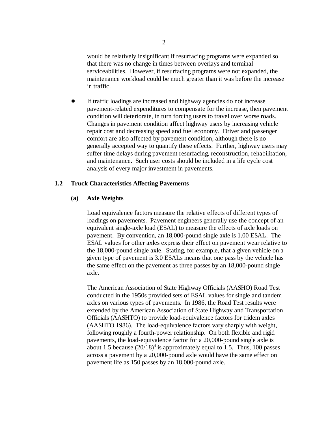would be relatively insignificant if resurfacing programs were expanded so that there was no change in times between overlays and terminal serviceabilities. However, if resurfacing programs were not expanded, the maintenance workload could be much greater than it was before the increase in traffic.

 If traffic loadings are increased and highway agencies do not increase pavement-related expenditures to compensate for the increase, then pavement condition will deteriorate, in turn forcing users to travel over worse roads. Changes in pavement condition affect highway users by increasing vehicle repair cost and decreasing speed and fuel economy. Driver and passenger comfort are also affected by pavement condition, although there is no generally accepted way to quantify these effects. Further, highway users may suffer time delays during pavement resurfacing, reconstruction, rehabilitation, and maintenance. Such user costs should be included in a life cycle cost analysis of every major investment in pavements.

## **1.2 Truck Characteristics Affecting Pavements**

## **(a) Axle Weights**

Load equivalence factors measure the relative effects of different types of loadings on pavements. Pavement engineers generally use the concept of an equivalent single-axle load (ESAL) to measure the effects of axle loads on pavement. By convention, an 18,000-pound single axle is 1.00 ESAL. The ESAL values for other axles express their effect on pavement wear relative to the 18,000-pound single axle. Stating, for example, that a given vehicle on a given type of pavement is 3.0 ESALs means that one pass by the vehicle has the same effect on the pavement as three passes by an 18,000-pound single axle.

The American Association of State Highway Officials (AASHO) Road Test conducted in the 1950s provided sets of ESAL values for single and tandem axles on various types of pavements. In 1986, the Road Test results were extended by the American Association of State Highway and Transportation Officials (AASHTO) to provide load-equivalence factors for tridem axles (AASHTO 1986). The load-equivalence factors vary sharply with weight, following roughly a fourth-power relationship. On both flexible and rigid pavements, the load-equivalence factor for a 20,000-pound single axle is about 1.5 because  $(20/18)^4$  is approximately equal to 1.5. Thus, 100 passes across a pavement by a 20,000-pound axle would have the same effect on pavement life as 150 passes by an 18,000-pound axle.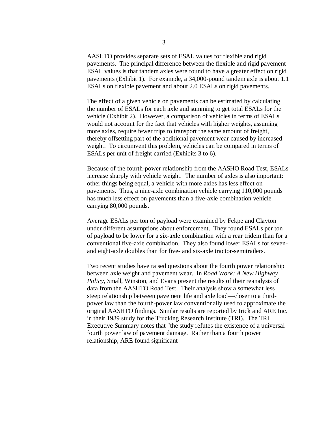AASHTO provides separate sets of ESAL values for flexible and rigid pavements. The principal difference between the flexible and rigid pavement ESAL values is that tandem axles were found to have a greater effect on rigid pavements (Exhibit 1). For example, a 34,000-pound tandem axle is about 1.1 ESALs on flexible pavement and about 2.0 ESALs on rigid pavements.

The effect of a given vehicle on pavements can be estimated by calculating the number of ESALs for each axle and summing to get total ESALs for the vehicle (Exhibit 2). However, a comparison of vehicles in terms of ESALs would not account for the fact that vehicles with higher weights, assuming more axles, require fewer trips to transport the same amount of freight, thereby offsetting part of the additional pavement wear caused by increased weight. To circumvent this problem, vehicles can be compared in terms of ESALs per unit of freight carried (Exhibits 3 to 6).

Because of the fourth-power relationship from the AASHO Road Test, ESALs increase sharply with vehicle weight. The number of axles is also important: other things being equal, a vehicle with more axles has less effect on pavements. Thus, a nine-axle combination vehicle carrying 110,000 pounds has much less effect on pavements than a five-axle combination vehicle carrying 80,000 pounds.

Average ESALs per ton of payload were examined by Fekpe and Clayton under different assumptions about enforcement. They found ESALs per ton of payload to be lower for a six-axle combination with a rear tridem than for a conventional five-axle combination. They also found lower ESALs for sevenand eight-axle doubles than for five- and six-axle tractor-semitrailers.

Two recent studies have raised questions about the fourth power relationship between axle weight and pavement wear. In *Road Work: A New Highway Policy*, Small, Winston, and Evans present the results of their reanalysis of data from the AASHTO Road Test. Their analysis show a somewhat less steep relationship between pavement life and axle load—closer to a thirdpower law than the fourth-power law conventionally used to approximate the original AASHTO findings. Similar results are reported by Irick and ARE Inc. in their 1989 study for the Trucking Research Institute (TRI). The TRI Executive Summary notes that "the study refutes the existence of a universal fourth power law of pavement damage. Rather than a fourth power relationship, ARE found significant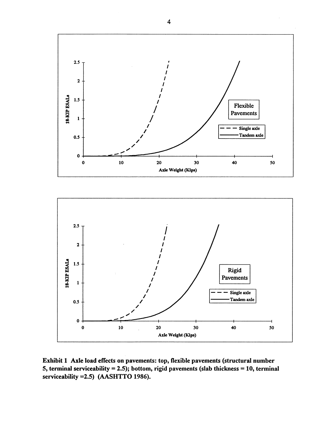

Exhibit 1 Axle load effects on pavements: top, flexible pavements (structural number 5, terminal serviceability = 2.5); bottom, rigid pavements (slab thickness = 10, terminal serviceability = 2.5) (AASHTTO 1986).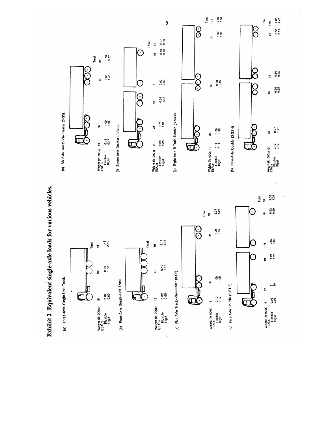

Exhibit 2 Equivalent single-axle loads for various vehicles.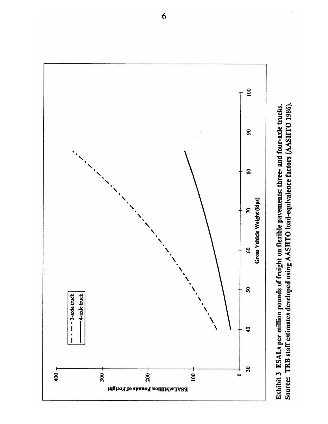

Source: TRB staff estimates developed using AASHTO load-equivalence factors (AASHTO 1986). Exhibit 3 ESALs per million pounds of freight on flexible pavements: three- and four-axle trucks.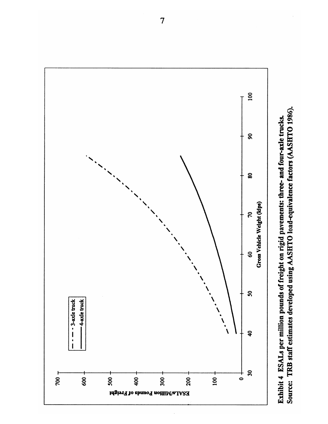

Source: TRB staff estimates developed using AASHTO load-equivalence factors (AASHTO 1986). Exhibit 4 ESALs per million pounds of freight on rigid pavements: three- and four-axle trucks.

 $\overline{7}$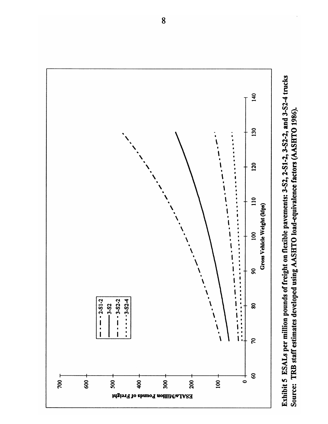

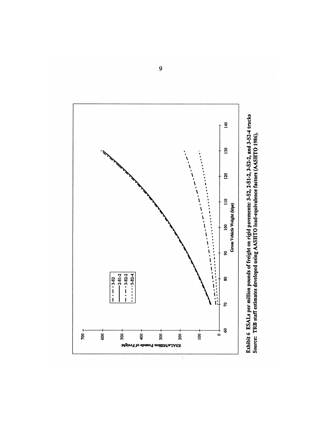

Exhibit 6 ESALs per million pounds of freight on rigid pavements: 3-S1, 2-S1-2, 3-S2-2, and 3-S2-4 trucks<br>Source: TRB staff estimates developed using AASHTO load-equivalence factors (AASHTO 1986).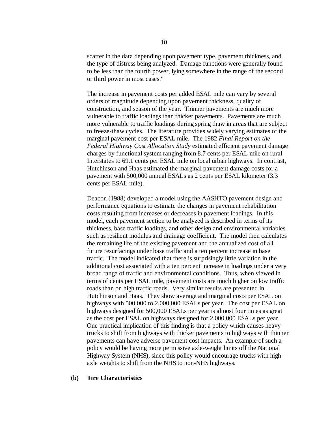scatter in the data depending upon pavement type, pavement thickness, and the type of distress being analyzed. Damage functions were generally found to be less than the fourth power, lying somewhere in the range of the second or third power in most cases."

The increase in pavement costs per added ESAL mile can vary by several orders of magnitude depending upon pavement thickness, quality of construction, and season of the year. Thinner pavements are much more vulnerable to traffic loadings than thicker pavements. Pavements are much more vulnerable to traffic loadings during spring thaw in areas that are subject to freeze-thaw cycles. The literature provides widely varying estimates of the marginal pavement cost per ESAL mile. The 1982 *Final Report on the Federal Highway Cost Allocation Study* estimated efficient pavement damage charges by functional system ranging from 8.7 cents per ESAL mile on rural Interstates to 69.1 cents per ESAL mile on local urban highways. In contrast, Hutchinson and Haas estimated the marginal pavement damage costs for a pavement with 500,000 annual ESALs as 2 cents per ESAL kilometer (3.3 cents per ESAL mile).

Deacon (1988) developed a model using the AASHTO pavement design and performance equations to estimate the changes in pavement rehabilitation costs resulting from increases or decreases in pavement loadings. In this model, each pavement section to be analyzed is described in terms of its thickness, base traffic loadings, and other design and environmental variables such as resilient modulus and drainage coefficient. The model then calculates the remaining life of the existing pavement and the annualized cost of all future resurfacings under base traffic and a ten percent increase in base traffic. The model indicated that there is surprisingly little variation in the additional cost associated with a ten percent increase in loadings under a very broad range of traffic and environmental conditions. Thus, when viewed in terms of cents per ESAL mile, pavement costs are much higher on low traffic roads than on high traffic roads. Very similar results are presented in Hutchinson and Haas. They show average and marginal costs per ESAL on highways with 500,000 to 2,000,000 ESALs per year. The cost per ESAL on highways designed for 500,000 ESALs per year is almost four times as great as the cost per ESAL on highways designed for 2,000,000 ESALs per year. One practical implication of this finding is that a policy which causes heavy trucks to shift from highways with thicker pavements to highways with thinner pavements can have adverse pavement cost impacts. An example of such a policy would be having more permissive axle-weight limits off the National Highway System (NHS), since this policy would encourage trucks with high axle weights to shift from the NHS to non-NHS highways.

#### **(b) Tire Characteristics**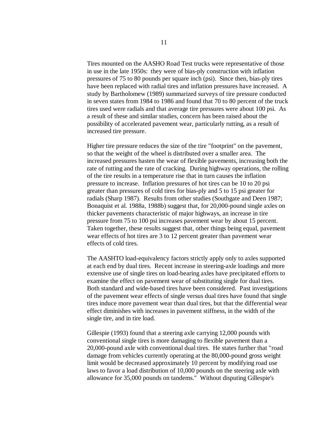Tires mounted on the AASHO Road Test trucks were representative of those in use in the late 1950s: they were of bias-ply construction with inflation pressures of 75 to 80 pounds per square inch (psi). Since then, bias-ply tires have been replaced with radial tires and inflation pressures have increased. A study by Bartholomew (1989) summarized surveys of tire pressure conducted in seven states from 1984 to 1986 and found that 70 to 80 percent of the truck tires used were radials and that average tire pressures were about 100 psi. As a result of these and similar studies, concern has been raised about the possibility of accelerated pavement wear, particularly rutting, as a result of increased tire pressure.

Higher tire pressure reduces the size of the tire "footprint" on the pavement, so that the weight of the wheel is distributed over a smaller area. The increased pressures hasten the wear of flexible pavements, increasing both the rate of rutting and the rate of cracking. During highway operations, the rolling of the tire results in a temperature rise that in turn causes the inflation pressure to increase. Inflation pressures of hot tires can be 10 to 20 psi greater than pressures of cold tires for bias-ply and 5 to 15 psi greater for radials (Sharp 1987). Results from other studies (Southgate and Deen 1987; Bonaquist et al. 1988a, 1988b) suggest that, for 20,000-pound single axles on thicker pavements characteristic of major highways, an increase in tire pressure from 75 to 100 psi increases pavement wear by about 15 percent. Taken together, these results suggest that, other things being equal, pavement wear effects of hot tires are 3 to 12 percent greater than pavement wear effects of cold tires.

The AASHTO load-equivalency factors strictly apply only to axles supported at each end by dual tires. Recent increase in steering-axle loadings and more extensive use of single tires on load-bearing axles have precipitated efforts to examine the effect on pavement wear of substituting single for dual tires. Both standard and wide-based tires have been considered. Past investigations of the pavement wear effects of single versus dual tires have found that single tires induce more pavement wear than dual tires, but that the differential wear effect diminishes with increases in pavement stiffness, in the width of the single tire, and in tire load.

Gillespie (1993) found that a steering axle carrying 12,000 pounds with conventional single tires is more damaging to flexible pavement than a 20,000-pound axle with conventional dual tires. He states further that "road damage from vehicles currently operating at the 80,000-pound gross weight limit would be decreased approximately 10 percent by modifying road use laws to favor a load distribution of 10,000 pounds on the steering axle with allowance for 35,000 pounds on tandems." Without disputing Gillespie's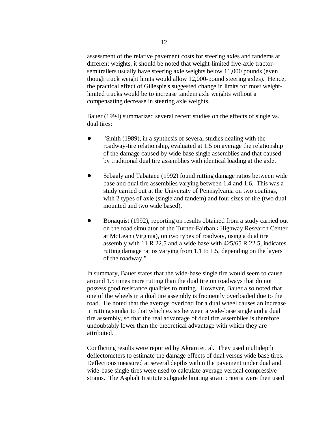assessment of the relative pavement costs for steering axles and tandems at different weights, it should be noted that weight-limited five-axle tractorsemitrailers usually have steering axle weights below 11,000 pounds (even though truck weight limits would allow 12,000-pound steering axles). Hence, the practical effect of Gillespie's suggested change in limits for most weightlimited trucks would be to increase tandem axle weights without a compensating decrease in steering axle weights.

Bauer (1994) summarized several recent studies on the effects of single vs. dual tires:

- "Smith (1989), in a synthesis of several studies dealing with the roadway-tire relationship, evaluated at 1.5 on average the relationship of the damage caused by wide base single assemblies and that caused by traditional dual tire assemblies with identical loading at the axle.
- Sebaaly and Tabataee (1992) found rutting damage ratios between wide base and dual tire assemblies varying between 1.4 and 1.6. This was a study carried out at the University of Pennsylvania on two coatings, with 2 types of axle (single and tandem) and four sizes of tire (two dual mounted and two wide based).
- Bonaquist (1992), reporting on results obtained from a study carried out on the road simulator of the Turner-Fairbank Highway Research Center at McLean (Virginia), on two types of roadway, using a dual tire assembly with 11 R 22.5 and a wide base with 425/65 R 22.5, indicates rutting damage ratios varying from 1.1 to 1.5, depending on the layers of the roadway."

In summary, Bauer states that the wide-base single tire would seem to cause around 1.5 times more rutting than the dual tire on roadways that do not possess good resistance qualities to rutting. However, Bauer also noted that one of the wheels in a dual tire assembly is frequently overloaded due to the road. He noted that the average overload for a dual wheel causes an increase in rutting similar to that which exists between a wide-base single and a dual tire assembly, so that the real advantage of dual tire assemblies is therefore undoubtably lower than the theoretical advantage with which they are attributed.

Conflicting results were reported by Akram et. al. They used multidepth deflectometers to estimate the damage effects of dual versus wide base tires. Deflections measured at several depths within the pavement under dual and wide-base single tires were used to calculate average vertical compressive strains. The Asphalt Institute subgrade limiting strain criteria were then used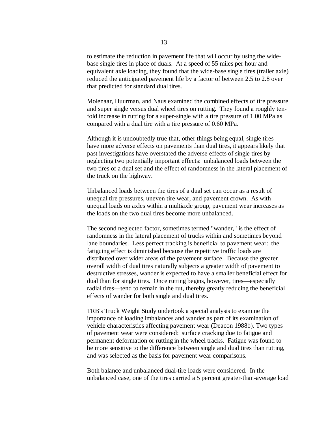to estimate the reduction in pavement life that will occur by using the widebase single tires in place of duals. At a speed of 55 miles per hour and equivalent axle loading, they found that the wide-base single tires (trailer axle) reduced the anticipated pavement life by a factor of between 2.5 to 2.8 over that predicted for standard dual tires.

Molenaar, Huurman, and Naus examined the combined effects of tire pressure and super single versus dual wheel tires on rutting. They found a roughly tenfold increase in rutting for a super-single with a tire pressure of 1.00 MPa as compared with a dual tire with a tire pressure of 0.60 MPa.

Although it is undoubtedly true that, other things being equal, single tires have more adverse effects on pavements than dual tires, it appears likely that past investigations have overstated the adverse effects of single tires by neglecting two potentially important effects: unbalanced loads between the two tires of a dual set and the effect of randomness in the lateral placement of the truck on the highway.

Unbalanced loads between the tires of a dual set can occur as a result of unequal tire pressures, uneven tire wear, and pavement crown. As with unequal loads on axles within a multiaxle group, pavement wear increases as the loads on the two dual tires become more unbalanced.

The second neglected factor, sometimes termed "wander," is the effect of randomness in the lateral placement of trucks within and sometimes beyond lane boundaries. Less perfect tracking is beneficial to pavement wear: the fatiguing effect is diminished because the repetitive traffic loads are distributed over wider areas of the pavement surface. Because the greater overall width of dual tires naturally subjects a greater width of pavement to destructive stresses, wander is expected to have a smaller beneficial effect for dual than for single tires. Once rutting begins, however, tires—especially radial tires—tend to remain in the rut, thereby greatly reducing the beneficial effects of wander for both single and dual tires.

TRB's Truck Weight Study undertook a special analysis to examine the importance of loading imbalances and wander as part of its examination of vehicle characteristics affecting pavement wear (Deacon 1988b). Two types of pavement wear were considered: surface cracking due to fatigue and permanent deformation or rutting in the wheel tracks. Fatigue was found to be more sensitive to the difference between single and dual tires than rutting, and was selected as the basis for pavement wear comparisons.

Both balance and unbalanced dual-tire loads were considered. In the unbalanced case, one of the tires carried a 5 percent greater-than-average load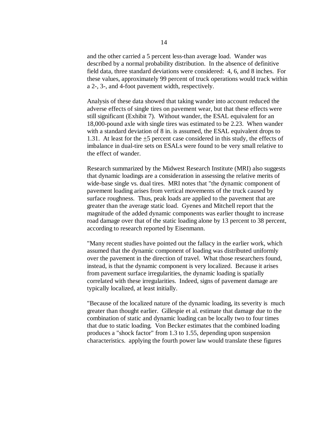and the other carried a 5 percent less-than average load. Wander was described by a normal probability distribution. In the absence of definitive field data, three standard deviations were considered: 4, 6, and 8 inches. For these values, approximately 99 percent of truck operations would track within a 2-, 3-, and 4-foot pavement width, respectively.

Analysis of these data showed that taking wander into account reduced the adverse effects of single tires on pavement wear, but that these effects were still significant (Exhibit 7). Without wander, the ESAL equivalent for an 18,000-pound axle with single tires was estimated to be 2.23. When wander with a standard deviation of 8 in. is assumed, the ESAL equivalent drops to 1.31. At least for the  $\pm 5$  percent case considered in this study, the effects of imbalance in dual-tire sets on ESALs were found to be very small relative to the effect of wander.

Research summarized by the Midwest Research Institute (MRI) also suggests that dynamic loadings are a consideration in assessing the relative merits of wide-base single vs. dual tires. MRI notes that "the dynamic component of pavement loading arises from vertical movements of the truck caused by surface roughness. Thus, peak loads are applied to the pavement that are greater than the average static load. Gyenes and Mitchell report that the magnitude of the added dynamic components was earlier thought to increase road damage over that of the static loading alone by 13 percent to 38 percent, according to research reported by Eisenmann.

"Many recent studies have pointed out the fallacy in the earlier work, which assumed that the dynamic component of loading was distributed uniformly over the pavement in the direction of travel. What those researchers found, instead, is that the dynamic component is very localized. Because it arises from pavement surface irregularities, the dynamic loading is spatially correlated with these irregularities. Indeed, signs of pavement damage are typically localized, at least initially.

"Because of the localized nature of the dynamic loading, its severity is much greater than thought earlier. Gillespie et al. estimate that damage due to the combination of static and dynamic loading can be locally two to four times that due to static loading. Von Becker estimates that the combined loading produces a "shock factor" from 1.3 to 1.55, depending upon suspension characteristics. applying the fourth power law would translate these figures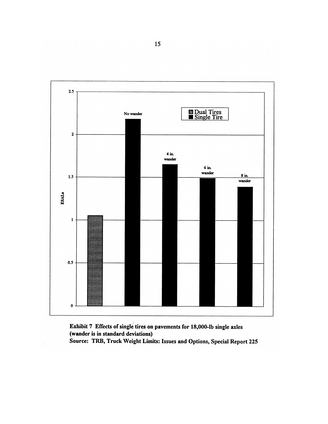

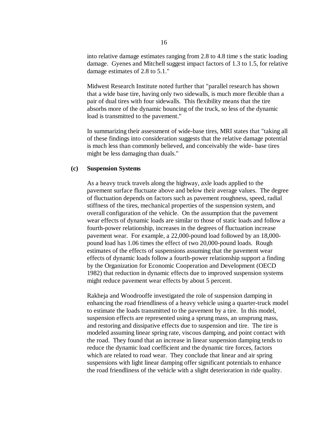into relative damage estimates ranging from 2.8 to 4.8 time s the static loading damage. Gyenes and Mitchell suggest impact factors of 1.3 to 1.5, for relative damage estimates of 2.8 to 5.1."

Midwest Research Institute noted further that "parallel research has shown that a wide base tire, having only two sidewalls, is much more flexible than a pair of dual tires with four sidewalls. This flexibility means that the tire absorbs more of the dynamic bouncing of the truck, so less of the dynamic load is transmitted to the pavement."

In summarizing their assessment of wide-base tires, MRI states that "taking all of these findings into consideration suggests that the relative damage potential is much less than commonly believed, and conceivably the wide- base tires might be less damaging than duals."

#### **(c) Suspension Systems**

As a heavy truck travels along the highway, axle loads applied to the pavement surface fluctuate above and below their average values. The degree of fluctuation depends on factors such as pavement roughness, speed, radial stiffness of the tires, mechanical properties of the suspension system, and overall configuration of the vehicle. On the assumption that the pavement wear effects of dynamic loads are similar to those of static loads and follow a fourth-power relationship, increases in the degrees of fluctuation increase pavement wear. For example, a 22,000-pound load followed by an 18,000 pound load has 1.06 times the effect of two 20,000-pound loads. Rough estimates of the effects of suspensions assuming that the pavement wear effects of dynamic loads follow a fourth-power relationship support a finding by the Organization for Economic Cooperation and Development (OECD 1982) that reduction in dynamic effects due to improved suspension systems might reduce pavement wear effects by about 5 percent.

Rakheja and Woodrooffe investigated the role of suspension damping in enhancing the road friendliness of a heavy vehicle using a quarter-truck model to estimate the loads transmitted to the pavement by a tire. In this model, suspension effects are represented using a sprung mass, an unsprung mass, and restoring and dissipative effects due to suspension and tire. The tire is modeled assuming linear spring rate, viscous damping, and point contact with the road. They found that an increase in linear suspension damping tends to reduce the dynamic load coefficient and the dynamic tire forces, factors which are related to road wear. They conclude that linear and air spring suspensions with light linear damping offer significant potentials to enhance the road friendliness of the vehicle with a slight deterioration in ride quality.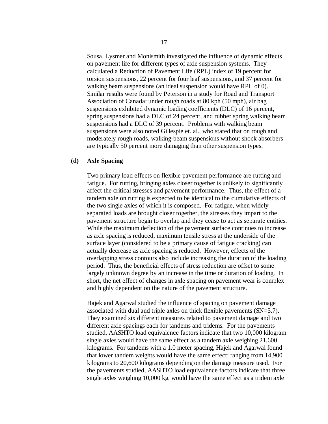Sousa, Lysmer and Monismith investigated the influence of dynamic effects on pavement life for different types of axle suspension systems. They calculated a Reduction of Pavement Life (RPL) index of 19 percent for torsion suspensions, 22 percent for four leaf suspensions, and 37 percent for walking beam suspensions (an ideal suspension would have RPL of 0). Similar results were found by Peterson in a study for Road and Transport Association of Canada: under rough roads at 80 kph (50 mph), air bag suspensions exhibited dynamic loading coefficients (DLC) of 16 percent, spring suspensions had a DLC of 24 percent, and rubber spring walking beam suspensions had a DLC of 39 percent. Problems with walking beam suspensions were also noted Gillespie et. al., who stated that on rough and moderately rough roads, walking-beam suspensions without shock absorbers are typically 50 percent more damaging than other suspension types.

#### **(d) Axle Spacing**

Two primary load effects on flexible pavement performance are rutting and fatigue. For rutting, bringing axles closer together is unlikely to significantly affect the critical stresses and pavement performance. Thus, the effect of a tandem axle on rutting is expected to be identical to the cumulative effects of the two single axles of which it is composed. For fatigue, when widely separated loads are brought closer together, the stresses they impart to the pavement structure begin to overlap and they cease to act as separate entities. While the maximum deflection of the pavement surface continues to increase as axle spacing is reduced, maximum tensile stress at the underside of the surface layer (considered to be a primary cause of fatigue cracking) can actually decrease as axle spacing is reduced. However, effects of the overlapping stress contours also include increasing the duration of the loading period. Thus, the beneficial effects of stress reduction are offset to some largely unknown degree by an increase in the time or duration of loading. In short, the net effect of changes in axle spacing on pavement wear is complex and highly dependent on the nature of the pavement structure.

Hajek and Agarwal studied the influence of spacing on pavement damage associated with dual and triple axles on thick flexible pavements (SN=5.7). They examined six different measures related to pavement damage and two different axle spacings each for tandems and tridems. For the pavements studied, AASHTO load equivalence factors indicate that two 10,000 kilogram single axles would have the same effect as a tandem axle weighing 21,600 kilograms. For tandems with a 1.0 meter spacing, Hajek and Agarwal found that lower tandem weights would have the same effect: ranging from 14,900 kilograms to 20,600 kilograms depending on the damage measure used. For the pavements studied, AASHTO load equivalence factors indicate that three single axles weighing 10,000 kg. would have the same effect as a tridem axle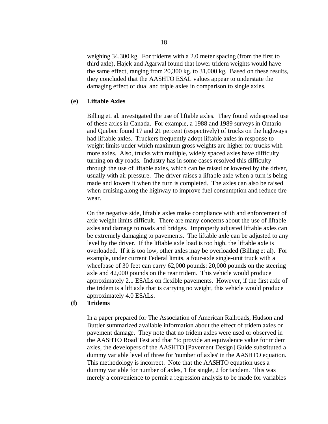weighing 34,300 kg. For tridems with a 2.0 meter spacing (from the first to third axle), Hajek and Agarwal found that lower tridem weights would have the same effect, ranging from 20,300 kg. to 31,000 kg. Based on these results, they concluded that the AASHTO ESAL values appear to understate the damaging effect of dual and triple axles in comparison to single axles.

# **(e) Liftable Axles**

Billing et. al. investigated the use of liftable axles. They found widespread use of these axles in Canada. For example, a 1988 and 1989 surveys in Ontario and Quebec found 17 and 21 percent (respectively) of trucks on the highways had liftable axles. Truckers frequently adopt liftable axles in response to weight limits under which maximum gross weights are higher for trucks with more axles. Also, trucks with multiple, widely spaced axles have difficulty turning on dry roads. Industry has in some cases resolved this difficulty through the use of liftable axles, which can be raised or lowered by the driver, usually with air pressure. The driver raises a liftable axle when a turn is being made and lowers it when the turn is completed. The axles can also be raised when cruising along the highway to improve fuel consumption and reduce tire wear.

On the negative side, liftable axles make compliance with and enforcement of axle weight limits difficult. There are many concerns about the use of liftable axles and damage to roads and bridges. Improperly adjusted liftable axles can be extremely damaging to pavements. The liftable axle can be adjusted to any level by the driver. If the liftable axle load is too high, the liftable axle is overloaded. If it is too low, other axles may be overloaded (Billing et al). For example, under current Federal limits, a four-axle single-unit truck with a wheelbase of 30 feet can carry 62,000 pounds: 20,000 pounds on the steering axle and 42,000 pounds on the rear tridem. This vehicle would produce approximately 2.1 ESALs on flexible pavements. However, if the first axle of the tridem is a lift axle that is carrying no weight, this vehicle would produce approximately 4.0 ESALs.

# **(f) Tridems**

In a paper prepared for The Association of American Railroads, Hudson and Buttler summarized available information about the effect of tridem axles on pavement damage. They note that no tridem axles were used or observed in the AASHTO Road Test and that "to provide an equivalence value for tridem axles, the developers of the AASHTO [Pavement Design] Guide substituted a dummy variable level of three for 'number of axles' in the AASHTO equation. This methodology is incorrect. Note that the AASHTO equation uses a dummy variable for number of axles, 1 for single, 2 for tandem. This was merely a convenience to permit a regression analysis to be made for variables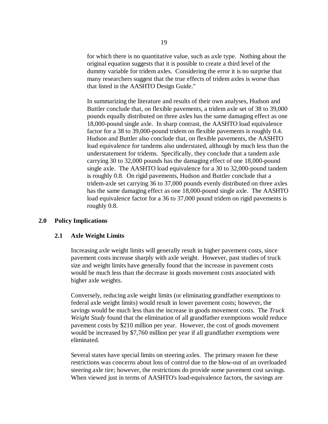for which there is no quantitative value, such as axle type. Nothing about the original equation suggests that it is possible to create a third level of the dummy variable for tridem axles. Considering the error it is no surprise that many researchers suggest that the true effects of tridem axles is worse than that listed in the AASHTO Design Guide."

In summarizing the literature and results of their own analyses, Hudson and Buttler conclude that, on flexible pavements, a tridem axle set of 38 to 39,000 pounds equally distributed on three axles has the same damaging effect as one 18,000-pound single axle. In sharp contrast, the AASHTO load equivalence factor for a 38 to 39,000-pound tridem on flexible pavements is roughly 0.4. Hudson and Buttler also conclude that, on flexible pavements, the AASHTO load equivalence for tandems also understated, although by much less than the understatement for tridems. Specifically, they conclude that a tandem axle carrying 30 to 32,000 pounds has the damaging effect of one 18,000-pound single axle. The AASHTO load equivalence for a 30 to 32,000-pound tandem is roughly 0.8. On rigid pavements, Hudson and Buttler conclude that a tridem-axle set carrying 36 to 37,000 pounds evenly distributed on three axles has the same damaging effect as one 18,000-pound single axle. The AASHTO load equivalence factor for a 36 to 37,000 pound tridem on rigid pavements is roughly 0.8.

# **2.0 Policy Implications**

## **2.1 Axle Weight Limits**

Increasing axle weight limits will generally result in higher pavement costs, since pavement costs increase sharply with axle weight. However, past studies of truck size and weight limits have generally found that the increase in pavement costs would be much less than the decrease in goods movement costs associated with higher axle weights.

Conversely, reducing axle weight limits (or eliminating grandfather exemptions to federal axle weight limits) would result in lower pavement costs; however, the savings would be much less than the increase in goods movement costs. The *Truck Weight Study* found that the elimination of all grandfather exemptions would reduce pavement costs by \$210 million per year. However, the cost of goods movement would be increased by \$7,760 million per year if all grandfather exemptions were eliminated.

Several states have special limits on steering axles. The primary reason for these restrictions was concerns about loss of control due to the blow-out of an overloaded steering axle tire; however, the restrictions do provide some pavement cost savings. When viewed just in terms of AASHTO's load-equivalence factors, the savings are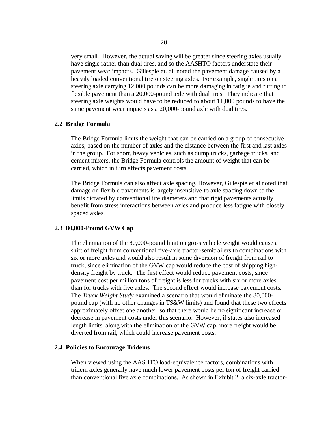very small. However, the actual saving will be greater since steering axles usually have single rather than dual tires, and so the AASHTO factors understate their pavement wear impacts. Gillespie et. al. noted the pavement damage caused by a heavily loaded conventional tire on steering axles. For example, single tires on a steering axle carrying 12,000 pounds can be more damaging in fatigue and rutting to flexible pavement than a 20,000-pound axle with dual tires. They indicate that steering axle weights would have to be reduced to about 11,000 pounds to have the same pavement wear impacts as a 20,000-pound axle with dual tires.

## **2.2 Bridge Formula**

The Bridge Formula limits the weight that can be carried on a group of consecutive axles, based on the number of axles and the distance between the first and last axles in the group. For short, heavy vehicles, such as dump trucks, garbage trucks, and cement mixers, the Bridge Formula controls the amount of weight that can be carried, which in turn affects pavement costs.

The Bridge Formula can also affect axle spacing. However, Gillespie et al noted that damage on flexible pavements is largely insensitive to axle spacing down to the limits dictated by conventional tire diameters and that rigid pavements actually benefit from stress interactions between axles and produce less fatigue with closely spaced axles.

## **2.3 80,000-Pound GVW Cap**

The elimination of the 80,000-pound limit on gross vehicle weight would cause a shift of freight from conventional five-axle tractor-semitrailers to combinations with six or more axles and would also result in some diversion of freight from rail to truck, since elimination of the GVW cap would reduce the cost of shipping highdensity freight by truck. The first effect would reduce pavement costs, since pavement cost per million tons of freight is less for trucks with six or more axles than for trucks with five axles. The second effect would increase pavement costs. The *Truck Weight Study* examined a scenario that would eliminate the 80,000 pound cap (with no other changes in TS&W limits) and found that these two effects approximately offset one another, so that there would be no significant increase or decrease in pavement costs under this scenario. However, if states also increased length limits, along with the elimination of the GVW cap, more freight would be diverted from rail, which could increase pavement costs.

## **2.4 Policies to Encourage Tridems**

When viewed using the AASHTO load-equivalence factors, combinations with tridem axles generally have much lower pavement costs per ton of freight carried than conventional five axle combinations. As shown in Exhibit 2, a six-axle tractor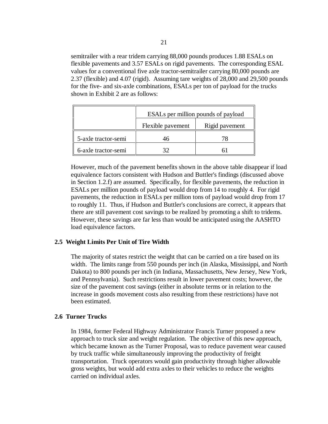semitrailer with a rear tridem carrying 88,000 pounds produces 1.88 ESALs on flexible pavements and 3.57 ESALs on rigid pavements. The corresponding ESAL values for a conventional five axle tractor-semitrailer carrying 80,000 pounds are 2.37 (flexible) and 4.07 (rigid). Assuming tare weights of 28,000 and 29,500 pounds for the five- and six-axle combinations, ESALs per ton of payload for the trucks shown in Exhibit 2 are as follows:

|                     | ESALs per million pounds of payload |                |
|---------------------|-------------------------------------|----------------|
|                     | Flexible pavement                   | Rigid pavement |
| 5-axle tractor-semi |                                     |                |
| 6-axle tractor-semi |                                     |                |

However, much of the pavement benefits shown in the above table disappear if load equivalence factors consistent with Hudson and Buttler's findings (discussed above in Section 1.2.f) are assumed. Specifically, for flexible pavements, the reduction in ESALs per million pounds of payload would drop from 14 to roughly 4. For rigid pavements, the reduction in ESALs per million tons of payload would drop from 17 to roughly 11. Thus, if Hudson and Buttler's conclusions are correct, it appears that there are still pavement cost savings to be realized by promoting a shift to tridems. However, these savings are far less than would be anticipated using the AASHTO load equivalence factors.

# **2.5 Weight Limits Per Unit of Tire Width**

The majority of states restrict the weight that can be carried on a tire based on its width. The limits range from 550 pounds per inch (in Alaska, Mississippi, and North Dakota) to 800 pounds per inch (in Indiana, Massachusetts, New Jersey, New York, and Pennsylvania). Such restrictions result in lower pavement costs; however, the size of the pavement cost savings (either in absolute terms or in relation to the increase in goods movement costs also resulting from these restrictions) have not been estimated.

# **2.6 Turner Trucks**

In 1984, former Federal Highway Administrator Francis Turner proposed a new approach to truck size and weight regulation. The objective of this new approach, which became known as the Turner Proposal, was to reduce pavement wear caused by truck traffic while simultaneously improving the productivity of freight transportation. Truck operators would gain productivity through higher allowable gross weights, but would add extra axles to their vehicles to reduce the weights carried on individual axles.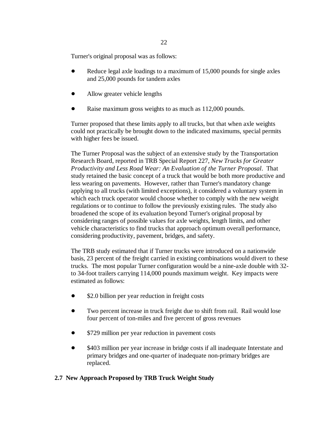Turner's original proposal was as follows:

- Reduce legal axle loadings to a maximum of 15,000 pounds for single axles and 25,000 pounds for tandem axles
- Allow greater vehicle lengths
- Raise maximum gross weights to as much as 112,000 pounds.

Turner proposed that these limits apply to all trucks, but that when axle weights could not practically be brought down to the indicated maximums, special permits with higher fees be issued.

The Turner Proposal was the subject of an extensive study by the Transportation Research Board, reported in TRB Special Report 227, *New Trucks for Greater Productivity and Less Road Wear: An Evaluation of the Turner Proposal*. That study retained the basic concept of a truck that would be both more productive and less wearing on pavements. However, rather than Turner's mandatory change applying to all trucks (with limited exceptions), it considered a voluntary system in which each truck operator would choose whether to comply with the new weight regulations or to continue to follow the previously existing rules. The study also broadened the scope of its evaluation beyond Turner's original proposal by considering ranges of possible values for axle weights, length limits, and other vehicle characteristics to find trucks that approach optimum overall performance, considering productivity, pavement, bridges, and safety.

The TRB study estimated that if Turner trucks were introduced on a nationwide basis, 23 percent of the freight carried in existing combinations would divert to these trucks. The most popular Turner configuration would be a nine-axle double with 32 to 34-foot trailers carrying 114,000 pounds maximum weight. Key impacts were estimated as follows:

- \$2.0 billion per year reduction in freight costs
- Two percent increase in truck freight due to shift from rail. Rail would lose four percent of ton-miles and five percent of gross revenues
- \$729 million per year reduction in pavement costs
- \$403 million per year increase in bridge costs if all inadequate Interstate and primary bridges and one-quarter of inadequate non-primary bridges are replaced.

# **2.7 New Approach Proposed by TRB Truck Weight Study**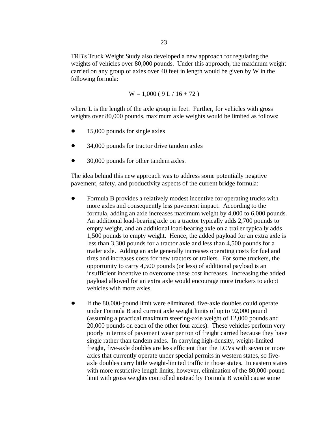TRB's Truck Weight Study also developed a new approach for regulating the weights of vehicles over 80,000 pounds. Under this approach, the maximum weight carried on any group of axles over 40 feet in length would be given by W in the following formula:

$$
W = 1,000 (9 L / 16 + 72)
$$

where L is the length of the axle group in feet. Further, for vehicles with gross weights over 80,000 pounds, maximum axle weights would be limited as follows:

- 15,000 pounds for single axles
- 34,000 pounds for tractor drive tandem axles
- 30,000 pounds for other tandem axles.

The idea behind this new approach was to address some potentially negative pavement, safety, and productivity aspects of the current bridge formula:

- Formula B provides a relatively modest incentive for operating trucks with more axles and consequently less pavement impact. According to the formula, adding an axle increases maximum weight by 4,000 to 6,000 pounds. An additional load-bearing axle on a tractor typically adds 2,700 pounds to empty weight, and an additional load-bearing axle on a trailer typically adds 1,500 pounds to empty weight. Hence, the added payload for an extra axle is less than 3,300 pounds for a tractor axle and less than 4,500 pounds for a trailer axle. Adding an axle generally increases operating costs for fuel and tires and increases costs for new tractors or trailers. For some truckers, the opportunity to carry 4,500 pounds (or less) of additional payload is an insufficient incentive to overcome these cost increases. Increasing the added payload allowed for an extra axle would encourage more truckers to adopt vehicles with more axles.
- If the 80,000-pound limit were eliminated, five-axle doubles could operate under Formula B and current axle weight limits of up to 92,000 pound (assuming a practical maximum steering-axle weight of 12,000 pounds and 20,000 pounds on each of the other four axles). These vehicles perform very poorly in terms of pavement wear per ton of freight carried because they have single rather than tandem axles. In carrying high-density, weight-limited freight, five-axle doubles are less efficient than the LCVs with seven or more axles that currently operate under special permits in western states, so fiveaxle doubles carry little weight-limited traffic in those states. In eastern states with more restrictive length limits, however, elimination of the 80,000-pound limit with gross weights controlled instead by Formula B would cause some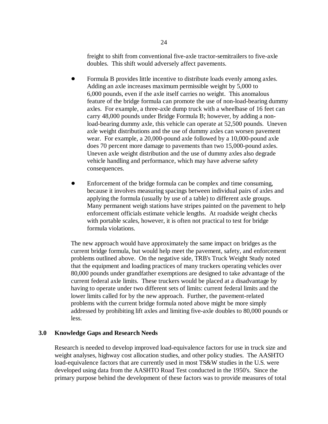freight to shift from conventional five-axle tractor-semitrailers to five-axle doubles. This shift would adversely affect pavements.

- Formula B provides little incentive to distribute loads evenly among axles. Adding an axle increases maximum permissible weight by 5,000 to 6,000 pounds, even if the axle itself carries no weight. This anomalous feature of the bridge formula can promote the use of non-load-bearing dummy axles. For example, a three-axle dump truck with a wheelbase of 16 feet can carry 48,000 pounds under Bridge Formula B; however, by adding a nonload-bearing dummy axle, this vehicle can operate at 52,500 pounds. Uneven axle weight distributions and the use of dummy axles can worsen pavement wear. For example, a 20,000-pound axle followed by a 10,000-pound axle does 70 percent more damage to pavements than two 15,000-pound axles. Uneven axle weight distribution and the use of dummy axles also degrade vehicle handling and performance, which may have adverse safety consequences.
- Enforcement of the bridge formula can be complex and time consuming, because it involves measuring spacings between individual pairs of axles and applying the formula (usually by use of a table) to different axle groups. Many permanent weigh stations have stripes painted on the pavement to help enforcement officials estimate vehicle lengths. At roadside weight checks with portable scales, however, it is often not practical to test for bridge formula violations.

The new approach would have approximately the same impact on bridges as the current bridge formula, but would help meet the pavement, safety, and enforcement problems outlined above. On the negative side, TRB's Truck Weight Study noted that the equipment and loading practices of many truckers operating vehicles over 80,000 pounds under grandfather exemptions are designed to take advantage of the current federal axle limits. These truckers would be placed at a disadvantage by having to operate under two different sets of limits: current federal limits and the lower limits called for by the new approach. Further, the pavement-related problems with the current bridge formula noted above might be more simply addressed by prohibiting lift axles and limiting five-axle doubles to 80,000 pounds or less.

# **3.0 Knowledge Gaps and Research Needs**

Research is needed to develop improved load-equivalence factors for use in truck size and weight analyses, highway cost allocation studies, and other policy studies. The AASHTO load-equivalence factors that are currently used in most TS&W studies in the U.S. were developed using data from the AASHTO Road Test conducted in the 1950's. Since the primary purpose behind the development of these factors was to provide measures of total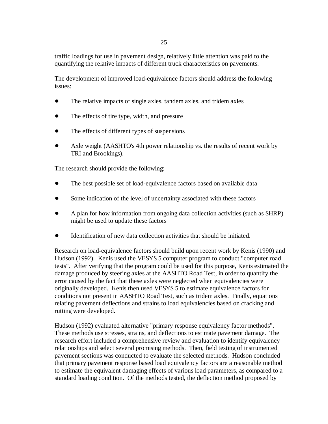traffic loadings for use in pavement design, relatively little attention was paid to the quantifying the relative impacts of different truck characteristics on pavements.

The development of improved load-equivalence factors should address the following issues:

- The relative impacts of single axles, tandem axles, and tridem axles
- The effects of tire type, width, and pressure
- The effects of different types of suspensions
- Axle weight (AASHTO's 4th power relationship vs. the results of recent work by TRI and Brookings).

The research should provide the following:

- The best possible set of load-equivalence factors based on available data
- Some indication of the level of uncertainty associated with these factors
- A plan for how information from ongoing data collection activities (such as SHRP) might be used to update these factors
- Identification of new data collection activities that should be initiated.

Research on load-equivalence factors should build upon recent work by Kenis (1990) and Hudson (1992). Kenis used the VESYS 5 computer program to conduct "computer road tests". After verifying that the program could be used for this purpose, Kenis estimated the damage produced by steering axles at the AASHTO Road Test, in order to quantify the error caused by the fact that these axles were neglected when equivalencies were originally developed. Kenis then used VESYS 5 to estimate equivalence factors for conditions not present in AASHTO Road Test, such as tridem axles. Finally, equations relating pavement deflections and strains to load equivalencies based on cracking and rutting were developed.

Hudson (1992) evaluated alternative "primary response equivalency factor methods". These methods use stresses, strains, and deflections to estimate pavement damage. The research effort included a comprehensive review and evaluation to identify equivalency relationships and select several promising methods. Then, field testing of instrumented pavement sections was conducted to evaluate the selected methods. Hudson concluded that primary pavement response based load equivalency factors are a reasonable method to estimate the equivalent damaging effects of various load parameters, as compared to a standard loading condition. Of the methods tested, the deflection method proposed by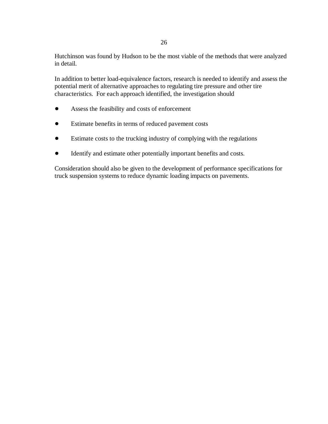Hutchinson was found by Hudson to be the most viable of the methods that were analyzed in detail.

In addition to better load-equivalence factors, research is needed to identify and assess the potential merit of alternative approaches to regulating tire pressure and other tire characteristics. For each approach identified, the investigation should

- Assess the feasibility and costs of enforcement
- Estimate benefits in terms of reduced pavement costs
- Estimate costs to the trucking industry of complying with the regulations
- Identify and estimate other potentially important benefits and costs.

Consideration should also be given to the development of performance specifications for truck suspension systems to reduce dynamic loading impacts on pavements.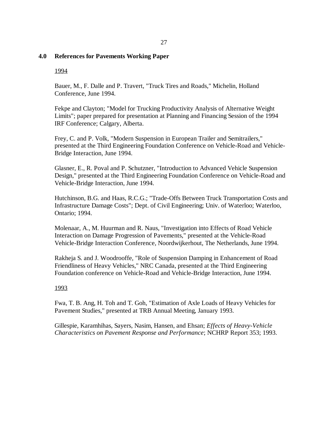## 27

# **4.0 References for Pavements Working Paper**

## 1994

Bauer, M., F. Dalle and P. Travert, "Truck Tires and Roads," Michelin, Holland Conference, June 1994.

Fekpe and Clayton; "Model for Trucking Productivity Analysis of Alternative Weight Limits"; paper prepared for presentation at Planning and Financing Session of the 1994 IRF Conference; Calgary, Alberta.

Frey, C. and P. Volk, "Modern Suspension in European Trailer and Semitrailers," presented at the Third Engineering Foundation Conference on Vehicle-Road and Vehicle-Bridge Interaction, June 1994.

Glasner, E., R. Poval and P. Schutzner, "Introduction to Advanced Vehicle Suspension Design," presented at the Third Engineering Foundation Conference on Vehicle-Road and Vehicle-Bridge Interaction, June 1994.

Hutchinson, B.G. and Haas, R.C.G.; "Trade-Offs Between Truck Transportation Costs and Infrastructure Damage Costs"; Dept. of Civil Engineering; Univ. of Waterloo; Waterloo, Ontario; 1994.

Molenaar, A., M. Huurman and R. Naus, "Investigation into Effects of Road Vehicle Interaction on Damage Progression of Pavements," presented at the Vehicle-Road Vehicle-Bridge Interaction Conference, Noordwijkerhout, The Netherlands, June 1994.

Rakheja S. and J. Woodrooffe, "Role of Suspension Damping in Enhancement of Road Friendliness of Heavy Vehicles," NRC Canada, presented at the Third Engineering Foundation conference on Vehicle-Road and Vehicle-Bridge Interaction, June 1994.

## 1993

Fwa, T. B. Ang, H. Toh and T. Goh, "Estimation of Axle Loads of Heavy Vehicles for Pavement Studies," presented at TRB Annual Meeting, January 1993.

Gillespie, Karamhihas, Sayers, Nasim, Hansen, and Ehsan; *Effects of Heavy-Vehicle Characteristics on Pavement Response and Performance*; NCHRP Report 353; 1993.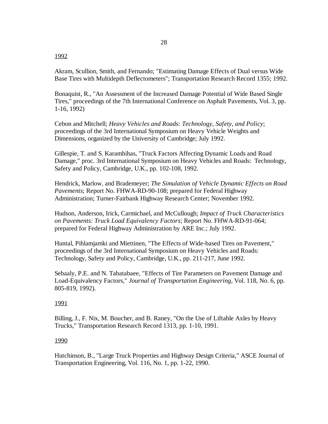#### 1992

Akram, Scullion, Smith, and Fernando; "Estimating Damage Effects of Dual versus Wide Base Tires with Multidepth Deflectometers"; Transportation Research Record 1355; 1992.

Bonaquist, R., "An Assessment of the Increased Damage Potential of Wide Based Single Tires," proceedings of the 7th International Conference on Asphalt Pavements, Vol. 3, pp. 1-16, 1992)

Cebon and Mitchell; *Heavy Vehicles and Roads: Technology, Safety, and Policy*; proceedings of the 3rd International Symposium on Heavy Vehicle Weights and Dimensions, organized by the University of Cambridge; July 1992.

Gillespie, T. and S. Karamhihas, "Truck Factors Affecting Dynamic Loads and Road Damage," proc. 3rd International Symposium on Heavy Vehicles and Roads: Technology, Safety and Policy, Cambridge, U.K., pp. 102-108, 1992.

Hendrick, Marlow, and Brademeyer; *The Simulation of Vehicle Dynamic Effects on Road Pavements*; Report No. FHWA-RD-90-108; prepared for Federal Highway Administration; Turner-Fairbank Highway Research Center; November 1992.

Hudson, Anderson, Irick, Carmichael, and McCullough; *Impact of Truck Characteristics on Pavements: Truck Load Equivalency Factors*; Report No. FHWA-RD-91-064; prepared for Federal Highway Administration by ARE Inc.; July 1992.

Huntal, Pihlamjamki and Miettinen, "The Effects of Wide-based Tires on Pavement," proceedings of the 3rd International Symposium on Heavy Vehicles and Roads: Technology, Safety and Policy, Cambridge, U.K., pp. 211-217, June 1992.

Sebaaly, P.E. and N. Tabatabaee, "Effects of Tire Parameters on Pavement Damage and Load-Equivalency Factors," *Journal of Transportation Engineering*, Vol. 118, No. 6, pp. 805-819, 1992).

## 1991

Billing, J., F. Nix, M. Boucher, and B. Raney, "On the Use of Liftable Axles by Heavy Trucks," Transportation Research Record 1313, pp. 1-10, 1991.

## 1990

Hutchinson, B., "Large Truck Properties and Highway Design Criteria," ASCE Journal of Transportation Engineering, Vol. 116, No. 1, pp. 1-22, 1990.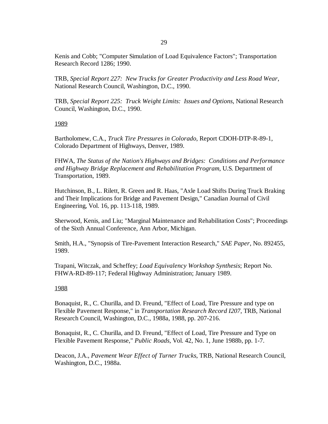Kenis and Cobb; "Computer Simulation of Load Equivalence Factors"; Transportation Research Record 1286; 1990.

TRB, *Special Report 227: New Trucks for Greater Productivity and Less Road Wear*, National Research Council, Washington, D.C., 1990.

TRB, *Special Report 225: Truck Weight Limits: Issues and Options*, National Research Council, Washington, D.C., 1990.

1989

Bartholomew, C.A., *Truck Tire Pressures in Colorado*, Report CDOH-DTP-R-89-1, Colorado Department of Highways, Denver, 1989.

FHWA, *The Status of the Nation's Highways and Bridges: Conditions and Performance and Highway Bridge Replacement and Rehabilitation Program*, U.S. Department of Transportation, 1989.

Hutchinson, B., L. Rilett, R. Green and R. Haas, "Axle Load Shifts During Truck Braking and Their Implications for Bridge and Pavement Design," Canadian Journal of Civil Engineering, Vol. 16, pp. 113-118, 1989.

Sherwood, Kenis, and Liu; "Marginal Maintenance and Rehabilitation Costs"; Proceedings of the Sixth Annual Conference, Ann Arbor, Michigan.

Smith, H.A., "Synopsis of Tire-Pavement Interaction Research," *SAE Paper*, No. 892455, 1989.

Trapani, Witczak, and Scheffey; *Load Equivalency Workshop Synthesis*; Report No. FHWA-RD-89-117; Federal Highway Administration; January 1989.

# 1988

Bonaquist, R., C. Churilla, and D. Freund, "Effect of Load, Tire Pressure and type on Flexible Pavement Response," in *Transportation Research Record I207*, TRB, National Research Council, Washington, D.C., 1988a, 1988, pp. 207-216.

Bonaquist, R., C. Churilla, and D. Freund, "Effect of Load, Tire Pressure and Type on Flexible Pavement Response," *Public Roads*, Vol. 42, No. 1, June 1988b, pp. 1-7.

Deacon, J.A., *Pavement Wear Effect of Turner Trucks*, TRB, National Research Council, Washington, D.C., 1988a.